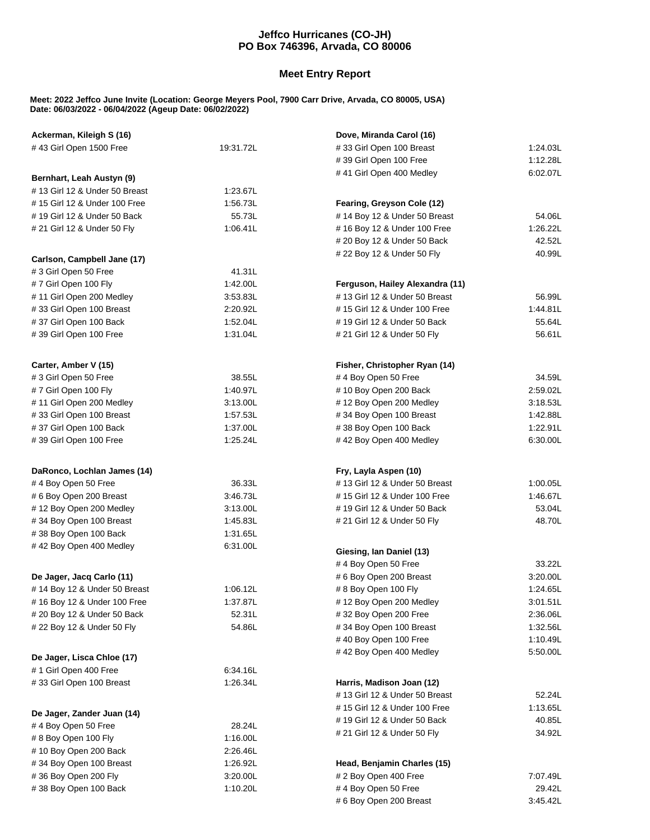## **Jeffco Hurricanes (CO-JH) PO Box 746396, Arvada, CO 80006**

## **Meet Entry Report**

## **Meet: 2022 Jeffco June Invite (Location: George Meyers Pool, 7900 Carr Drive, Arvada, CO 80005, USA) Date: 06/03/2022 - 06/04/2022 (Ageup Date: 06/02/2022)**

| Ackerman, Kileigh S (16)                                      |          | Dove, Miranda Carol (16)                                   |          |  |
|---------------------------------------------------------------|----------|------------------------------------------------------------|----------|--|
| #43 Girl Open 1500 Free<br>19:31.72L                          |          | #33 Girl Open 100 Breast<br>1:24.03L                       |          |  |
|                                                               |          | #39 Girl Open 100 Free                                     | 1:12.28L |  |
|                                                               |          | #41 Girl Open 400 Medley                                   | 6:02.07L |  |
| Bernhart, Leah Austyn (9)<br>#13 Girl 12 & Under 50 Breast    | 1:23.67L |                                                            |          |  |
|                                                               | 1:56.73L |                                                            |          |  |
| # 15 Girl 12 & Under 100 Free<br># 19 Girl 12 & Under 50 Back | 55.73L   | Fearing, Greyson Cole (12)<br>#14 Boy 12 & Under 50 Breast | 54.06L   |  |
|                                                               | 1:06.41L |                                                            | 1:26.22L |  |
| # 21 Girl 12 & Under 50 Fly                                   |          | #16 Boy 12 & Under 100 Free<br># 20 Boy 12 & Under 50 Back | 42.52L   |  |
|                                                               |          | # 22 Boy 12 & Under 50 Fly                                 | 40.99L   |  |
| Carlson, Campbell Jane (17)                                   |          |                                                            |          |  |
| #3 Girl Open 50 Free                                          | 41.31L   |                                                            |          |  |
| #7 Girl Open 100 Fly                                          | 1:42.00L | Ferguson, Hailey Alexandra (11)                            |          |  |
| #11 Girl Open 200 Medley                                      | 3:53.83L | #13 Girl 12 & Under 50 Breast                              | 56.99L   |  |
| #33 Girl Open 100 Breast                                      | 2:20.92L | # 15 Girl 12 & Under 100 Free                              | 1:44.81L |  |
| #37 Girl Open 100 Back                                        | 1:52.04L | # 19 Girl 12 & Under 50 Back                               | 55.64L   |  |
| #39 Girl Open 100 Free                                        | 1:31.04L | # 21 Girl 12 & Under 50 Fly                                | 56.61L   |  |
| Carter, Amber V (15)                                          |          | Fisher, Christopher Ryan (14)                              |          |  |
| #3 Girl Open 50 Free                                          | 38.55L   | # 4 Boy Open 50 Free                                       | 34.59L   |  |
| #7 Girl Open 100 Fly                                          | 1:40.97L | #10 Boy Open 200 Back                                      | 2:59.02L |  |
| #11 Girl Open 200 Medley                                      | 3:13.00L | #12 Boy Open 200 Medley                                    | 3:18.53L |  |
| #33 Girl Open 100 Breast                                      | 1:57.53L | #34 Boy Open 100 Breast                                    | 1:42.88L |  |
| #37 Girl Open 100 Back                                        | 1:37.00L | #38 Boy Open 100 Back                                      | 1:22.91L |  |
| #39 Girl Open 100 Free                                        | 1:25.24L | #42 Boy Open 400 Medley                                    | 6:30.00L |  |
| DaRonco, Lochlan James (14)                                   |          | Fry, Layla Aspen (10)                                      |          |  |
| #4 Boy Open 50 Free                                           | 36.33L   | #13 Girl 12 & Under 50 Breast                              | 1:00.05L |  |
| # 6 Boy Open 200 Breast                                       | 3:46.73L | #15 Girl 12 & Under 100 Free                               | 1:46.67L |  |
| #12 Boy Open 200 Medley                                       | 3:13.00L | # 19 Girl 12 & Under 50 Back                               | 53.04L   |  |
| #34 Boy Open 100 Breast                                       | 1:45.83L | # 21 Girl 12 & Under 50 Fly                                | 48.70L   |  |
| #38 Boy Open 100 Back                                         | 1:31.65L |                                                            |          |  |
| #42 Boy Open 400 Medley                                       | 6:31.00L |                                                            |          |  |
|                                                               |          | Giesing, Ian Daniel (13)                                   |          |  |
|                                                               |          | # 4 Boy Open 50 Free                                       | 33.22L   |  |
| De Jager, Jacq Carlo (11)                                     |          | # 6 Boy Open 200 Breast                                    | 3:20.00L |  |
| #14 Boy 12 & Under 50 Breast                                  | 1:06.12L | # 8 Boy Open 100 Fly                                       | 1:24.65L |  |
| # 16 Boy 12 & Under 100 Free                                  | 1:37.87L | #12 Boy Open 200 Medley                                    | 3:01.51L |  |
| # 20 Boy 12 & Under 50 Back                                   | 52.31L   | #32 Boy Open 200 Free                                      | 2:36.06L |  |
| # 22 Boy 12 & Under 50 Fly                                    | 54.86L   | #34 Boy Open 100 Breast                                    | 1:32.56L |  |
|                                                               |          | #40 Boy Open 100 Free                                      | 1:10.49L |  |
| De Jager, Lisca Chloe (17)                                    |          | #42 Boy Open 400 Medley                                    | 5:50.00L |  |
| # 1 Girl Open 400 Free                                        | 6:34.16L |                                                            |          |  |
| #33 Girl Open 100 Breast                                      | 1:26.34L | Harris, Madison Joan (12)                                  |          |  |
|                                                               |          | #13 Girl 12 & Under 50 Breast                              | 52.24L   |  |
|                                                               |          | # 15 Girl 12 & Under 100 Free                              | 1:13.65L |  |
| De Jager, Zander Juan (14)                                    |          | # 19 Girl 12 & Under 50 Back                               | 40.85L   |  |
| #4 Boy Open 50 Free                                           | 28.24L   | # 21 Girl 12 & Under 50 Fly                                | 34.92L   |  |
| # 8 Boy Open 100 Fly                                          | 1:16.00L |                                                            |          |  |
| #10 Boy Open 200 Back                                         | 2:26.46L |                                                            |          |  |
| #34 Boy Open 100 Breast                                       | 1:26.92L | Head, Benjamin Charles (15)                                |          |  |
| #36 Boy Open 200 Fly                                          | 3:20.00L | # 2 Boy Open 400 Free                                      | 7:07.49L |  |
| #38 Boy Open 100 Back                                         | 1:10.20L | # 4 Boy Open 50 Free                                       | 29.42L   |  |
|                                                               |          | # 6 Boy Open 200 Breast                                    | 3:45.42L |  |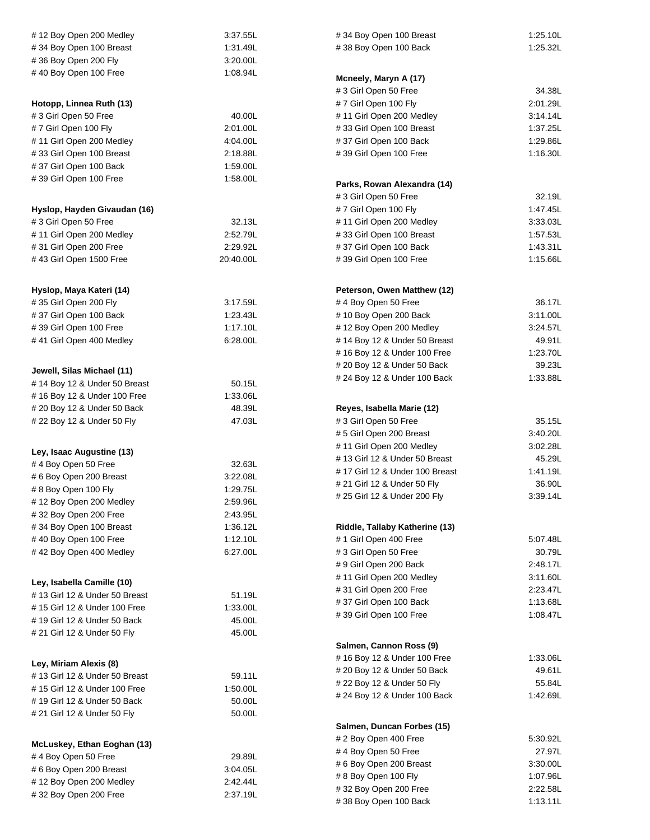| #12 Boy Open 200 Medley                          | 3:37.55L  | #34 Boy Open 100 Breast                            | 1:25.10L             |
|--------------------------------------------------|-----------|----------------------------------------------------|----------------------|
| #34 Boy Open 100 Breast                          | 1:31.49L  | #38 Boy Open 100 Back                              | 1:25.32L             |
| #36 Boy Open 200 Fly                             | 3:20.00L  |                                                    |                      |
| #40 Boy Open 100 Free                            | 1:08.94L  | Mcneely, Maryn A (17)                              |                      |
|                                                  |           | #3 Girl Open 50 Free                               | 34.38L               |
| Hotopp, Linnea Ruth (13)                         |           | #7 Girl Open 100 Fly                               | 2:01.29L             |
| #3 Girl Open 50 Free                             | 40.00L    | #11 Girl Open 200 Medley                           | 3:14.14L             |
|                                                  |           |                                                    |                      |
| #7 Girl Open 100 Fly<br>#11 Girl Open 200 Medley | 2:01.00L  | #33 Girl Open 100 Breast<br>#37 Girl Open 100 Back | 1:37.25L<br>1:29.86L |
|                                                  | 4:04.00L  |                                                    |                      |
| #33 Girl Open 100 Breast                         | 2:18.88L  | #39 Girl Open 100 Free                             | 1:16.30L             |
| #37 Girl Open 100 Back                           |           | 1:59.00L                                           |                      |
| #39 Girl Open 100 Free                           | 1:58.00L  | Parks, Rowan Alexandra (14)                        |                      |
|                                                  |           | # 3 Girl Open 50 Free                              | 32.19L               |
| Hyslop, Hayden Givaudan (16)                     |           | #7 Girl Open 100 Fly                               | 1:47.45L             |
| # 3 Girl Open 50 Free                            | 32.13L    | #11 Girl Open 200 Medley                           | 3:33.03L             |
| #11 Girl Open 200 Medley                         | 2:52.79L  | #33 Girl Open 100 Breast                           | 1:57.53L             |
| #31 Girl Open 200 Free                           | 2:29.92L  | #37 Girl Open 100 Back                             | 1:43.31L             |
| #43 Girl Open 1500 Free                          | 20:40.00L | #39 Girl Open 100 Free                             | 1:15.66L             |
|                                                  |           |                                                    |                      |
| Hyslop, Maya Kateri (14)                         |           | Peterson, Owen Matthew (12)                        |                      |
| #35 Girl Open 200 Fly                            | 3:17.59L  | #4 Boy Open 50 Free                                | 36.17L               |
| #37 Girl Open 100 Back                           | 1:23.43L  | #10 Boy Open 200 Back                              | 3:11.00L             |
| #39 Girl Open 100 Free                           | 1:17.10L  | #12 Boy Open 200 Medley                            | 3:24.57L             |
| #41 Girl Open 400 Medley                         | 6:28.00L  | #14 Boy 12 & Under 50 Breast                       | 49.91L               |
|                                                  |           | #16 Boy 12 & Under 100 Free                        | 1:23.70L             |
|                                                  |           | # 20 Boy 12 & Under 50 Back                        | 39.23L               |
| Jewell, Silas Michael (11)                       |           | # 24 Boy 12 & Under 100 Back                       | 1:33.88L             |
| #14 Boy 12 & Under 50 Breast                     | 50.15L    |                                                    |                      |
| #16 Boy 12 & Under 100 Free                      | 1:33.06L  |                                                    |                      |
| # 20 Boy 12 & Under 50 Back                      | 48.39L    | Reyes, Isabella Marie (12)                         |                      |
| # 22 Boy 12 & Under 50 Fly                       | 47.03L    | # 3 Girl Open 50 Free                              | 35.15L               |
|                                                  |           | #5 Girl Open 200 Breast                            | 3:40.20L             |
| Ley, Isaac Augustine (13)                        |           | #11 Girl Open 200 Medley                           | 3:02.28L             |
| #4 Boy Open 50 Free                              | 32.63L    | # 13 Girl 12 & Under 50 Breast                     | 45.29L               |
| # 6 Boy Open 200 Breast                          | 3:22.08L  | # 17 Girl 12 & Under 100 Breast                    | 1:41.19L             |
| # 8 Boy Open 100 Fly                             | 1:29.75L  | # 21 Girl 12 & Under 50 Fly                        | 36.90L               |
| #12 Boy Open 200 Medley                          | 2:59.96L  | # 25 Girl 12 & Under 200 Fly<br>3:39.14L           |                      |
| #32 Boy Open 200 Free                            | 2:43.95L  |                                                    |                      |
| #34 Boy Open 100 Breast                          | 1:36.12L  | Riddle, Tallaby Katherine (13)                     |                      |
| #40 Boy Open 100 Free                            | 1:12.10L  | # 1 Girl Open 400 Free                             | 5:07.48L             |
| #42 Boy Open 400 Medley                          | 6:27.00L  | #3 Girl Open 50 Free                               | 30.79L               |
|                                                  |           | # 9 Girl Open 200 Back                             | 2:48.17L             |
|                                                  |           | #11 Girl Open 200 Medley                           | 3:11.60L             |
| Ley, Isabella Camille (10)                       |           | #31 Girl Open 200 Free                             | 2:23.47L             |
| #13 Girl 12 & Under 50 Breast                    | 51.19L    | #37 Girl Open 100 Back                             | 1:13.68L             |
| # 15 Girl 12 & Under 100 Free                    | 1:33.00L  | #39 Girl Open 100 Free<br>1:08.47L                 |                      |
| # 19 Girl 12 & Under 50 Back                     | 45.00L    |                                                    |                      |
| # 21 Girl 12 & Under 50 Fly                      | 45.00L    |                                                    |                      |
|                                                  |           | Salmen, Cannon Ross (9)                            |                      |
| Ley, Miriam Alexis (8)                           |           | #16 Boy 12 & Under 100 Free                        | 1:33.06L             |
| #13 Girl 12 & Under 50 Breast                    | 59.11L    | # 20 Boy 12 & Under 50 Back                        | 49.61L               |
| # 15 Girl 12 & Under 100 Free                    | 1:50.00L  | # 22 Boy 12 & Under 50 Fly                         | 55.84L               |
| # 19 Girl 12 & Under 50 Back                     | 50.00L    | # 24 Boy 12 & Under 100 Back                       | 1:42.69L             |
| # 21 Girl 12 & Under 50 Fly                      | 50.00L    |                                                    |                      |
|                                                  |           | Salmen, Duncan Forbes (15)                         |                      |
|                                                  |           | # 2 Boy Open 400 Free                              | 5:30.92L             |
| McLuskey, Ethan Eoghan (13)                      |           | #4 Boy Open 50 Free                                | 27.97L               |
| # 4 Boy Open 50 Free                             | 29.89L    | # 6 Boy Open 200 Breast                            | 3:30.00L             |
| # 6 Boy Open 200 Breast                          | 3:04.05L  | # 8 Boy Open 100 Fly                               | 1:07.96L             |
| #12 Boy Open 200 Medley                          | 2:42.44L  | #32 Boy Open 200 Free                              | 2:22.58L             |
| #32 Boy Open 200 Free                            | 2:37.19L  | #38 Boy Open 100 Back                              | 1:13.11L             |
|                                                  |           |                                                    |                      |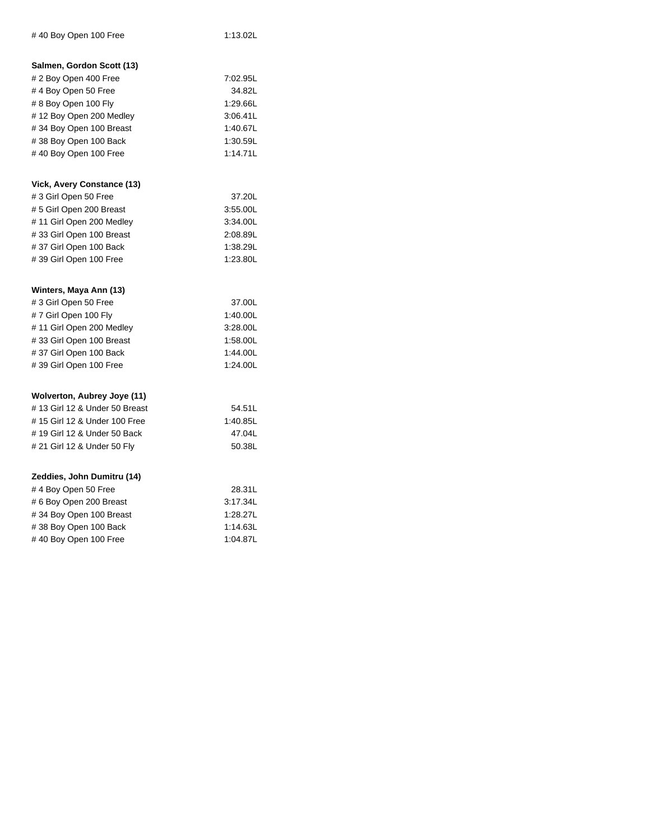| #40 Boy Open 100 Free          | 1:13.02L |
|--------------------------------|----------|
| Salmen, Gordon Scott (13)      |          |
| # 2 Boy Open 400 Free          | 7:02.95L |
| #4 Boy Open 50 Free            | 34.82L   |
| # 8 Boy Open 100 Fly           | 1:29.66L |
| #12 Boy Open 200 Medley        | 3:06.41L |
| #34 Boy Open 100 Breast        | 1:40.67L |
| #38 Boy Open 100 Back          | 1:30.59L |
| #40 Boy Open 100 Free          | 1:14.71L |
| Vick, Avery Constance (13)     |          |
| # 3 Girl Open 50 Free          | 37.20L   |
| # 5 Girl Open 200 Breast       | 3:55.00L |
| #11 Girl Open 200 Medley       | 3:34.00L |
| #33 Girl Open 100 Breast       | 2:08.89L |
| #37 Girl Open 100 Back         | 1:38.29L |
| #39 Girl Open 100 Free         | 1:23.80L |
|                                |          |
| Winters, Maya Ann (13)         |          |
| #3 Girl Open 50 Free           | 37.00L   |
| #7 Girl Open 100 Fly           | 1:40.00L |
| # 11 Girl Open 200 Medley      | 3:28.00L |
| #33 Girl Open 100 Breast       | 1:58.00L |
| #37 Girl Open 100 Back         | 1:44.00L |
| #39 Girl Open 100 Free         | 1:24.00L |
| Wolverton, Aubrey Joye (11)    |          |
| # 13 Girl 12 & Under 50 Breast | 54.51L   |
| # 15 Girl 12 & Under 100 Free  | 1:40.85L |
| # 19 Girl 12 & Under 50 Back   | 47.04L   |
| # 21 Girl 12 & Under 50 Fly    | 50.38L   |
| Zeddies, John Dumitru (14)     |          |
| #4 Boy Open 50 Free            | 28.31L   |
| # 6 Boy Open 200 Breast        | 3:17.34L |
| #34 Boy Open 100 Breast        | 1:28.27L |
| #38 Boy Open 100 Back          | 1:14.63L |
| #40 Boy Open 100 Free          | 1:04.87L |